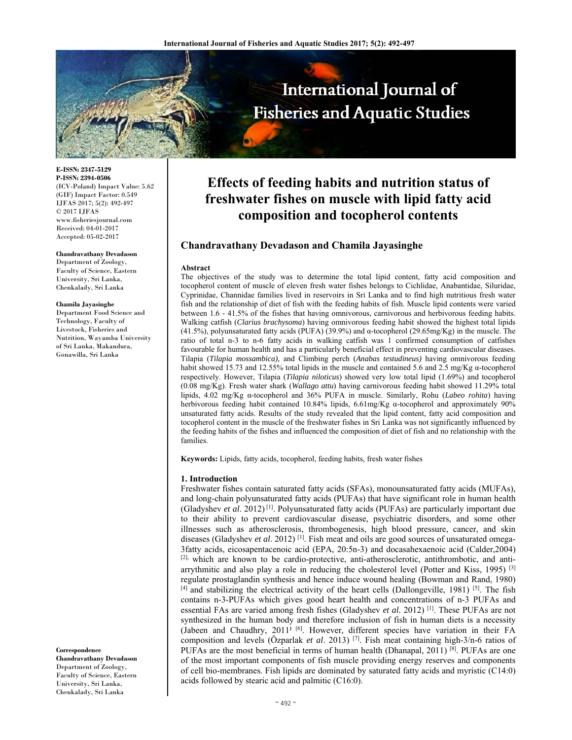

**E-ISSN: 2347-5129 P-ISSN: 2394-0506**  (ICV-Poland) Impact Value: 5.62 (GIF) Impact Factor: 0.549 IJFAS 2017; 5(2): 492-497  $\odot$  2017 IJFAS www.fisheriesjournal.com Received: 04-01-2017 Accepted: 05-02-2017

#### **Chandravathany Devadason**

Department of Zoology, Faculty of Science, Eastern University, Sri Lanka, Chenkalady, Sri Lanka

#### **Chamila Jayasinghe**

Department Food Science and Technology, Faculty of Livestock, Fisheries and Nutrition, Wayamba University of Sri Lanka, Makandura, Gonawilla, Sri Lanka

**Correspondence Chandravathany Devadason**  Department of Zoology, Faculty of Science, Eastern University, Sri Lanka, Chenkalady, Sri Lanka

# **Effects of feeding habits and nutrition status of freshwater fishes on muscle with lipid fatty acid composition and tocopherol contents**

# **Chandravathany Devadason and Chamila Jayasinghe**

#### **Abstract**

The objectives of the study was to determine the total lipid content, fatty acid composition and tocopherol content of muscle of eleven fresh water fishes belongs to Cichlidae, Anabantidae, Siluridae, Cyprinidae, Channidae families lived in reservoirs in Sri Lanka and to find high nutritious fresh water fish and the relationship of diet of fish with the feeding habits of fish. Muscle lipid contents were varied between 1.6 - 41.5% of the fishes that having omnivorous, carnivorous and herbivorous feeding habits. Walking catfish (*Clarius brachysoma*) having omnivorous feeding habit showed the highest total lipids (41.5%), polyunsaturated fatty acids (PUFA) (39.9%) and α-tocopherol (29.65mg/Kg) in the muscle. The ratio of total n-3 to n-6 fatty acids in walking catfish was 1 confirmed consumption of catfishes favourable for human health and has a particularly beneficial effect in preventing cardiovascular diseases. Tilapia (*Tilapia mossambica),* and Climbing perch (*Anabas testudineus)* having omnivorous feeding habit showed 15.73 and 12.55% total lipids in the muscle and contained 5.6 and 2.5 mg/Kg α-tocopherol respectively. However, Tilapia (*Tilapia niloticus*) showed very low total lipid (1.69%) and tocopherol (0.08 mg/Kg). Fresh water shark (*Wallago attu*) having carnivorous feeding habit showed 11.29% total lipids, 4.02 mg/Kg α-tocopherol and 36% PUFA in muscle. Similarly, Rohu (*Labeo rohita*) having herbivorous feeding habit contained 10.84% lipids, 6.61mg/Kg α-tocopherol and approximately 90% unsaturated fatty acids. Results of the study revealed that the lipid content, fatty acid composition and tocopherol content in the muscle of the freshwater fishes in Sri Lanka was not significantly influenced by the feeding habits of the fishes and influenced the composition of diet of fish and no relationship with the families.

**Keywords:** Lipids, fatty acids, tocopherol, feeding habits, fresh water fishes

### **1. Introduction**

Freshwater fishes contain saturated fatty acids (SFAs), monounsaturated fatty acids (MUFAs), and long-chain polyunsaturated fatty acids (PUFAs) that have significant role in human health (Gladyshev *et al*. 2012) [1]. Polyunsaturated fatty acids (PUFAs) are particularly important due to their ability to prevent cardiovascular disease, psychiatric disorders, and some other illnesses such as atherosclerosis, thrombogenesis, high blood pressure, cancer, and skin diseases (Gladyshev et al. 2012)<sup>[1]</sup>. Fish meat and oils are good sources of unsaturated omega-3fatty acids, eicosapentacenoic acid (EPA, 20:5n-3) and docasahexaenoic acid (Calder,2004) [2], which are known to be cardio-protective, anti-atherosclerotic, antithrombotic, and antiarrythmitic and also play a role in reducing the cholesterol level (Potter and Kiss, 1995)  $^{[3]}$ regulate prostaglandin synthesis and hence induce wound healing (Bowman and Rand, 1980)  $[4]$  and stabilizing the electrical activity of the heart cells (Dallongeville, 1981) [5]. The fish contains n-3-PUFAs which gives good heart health and concentrations of n-3 PUFAs and essential FAs are varied among fresh fishes (Gladyshev *et al.* 2012)<sup>[1]</sup>. These PUFAs are not synthesized in the human body and therefore inclusion of fish in human diets is a necessity (Jabeen and Chaudhry, 2011**)** [6]. However, different species have variation in their FA composition and levels (Özparlak *et al*. 2013) [7]. Fish meat containing high-3/n-6 ratios of PUFAs are the most beneficial in terms of human health (Dhanapal, 2011) [8]. PUFAs are one of the most important components of fish muscle providing energy reserves and components of cell bio-membranes. Fish lipids are dominated by saturated fatty acids and myristic (C14:0) acids followed by stearic acid and palmitic (C16:0).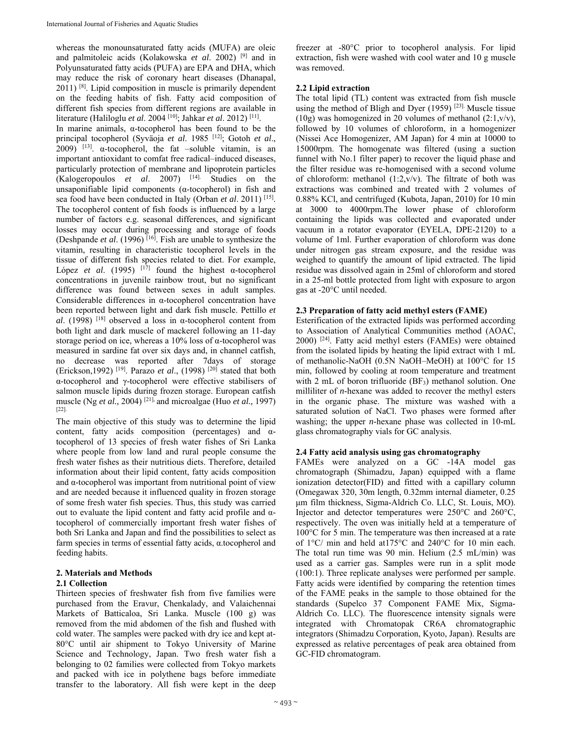whereas the monounsaturated fatty acids (MUFA) are oleic and palmitoleic acids (Kolakowska *et al*. 2002) [9] and in Polyunsaturated fatty acids (PUFA) are EPA and DHA, which may reduce the risk of coronary heart diseases (Dhanapal, 2011) [8]. Lipid composition in muscle is primarily dependent on the feeding habits of fish. Fatty acid composition of different fish species from different regions are available in literature (Haliloglu *et al*. 2004 [10]; Jahkar *et al*. 2012) [11]. In marine animals, α-tocopherol has been found to be the principal tocopherol (Syväoja *et al*. 1985 [12]; Gotoh *et al*.,  $(2009)$ <sup>[13]</sup>.  $\alpha$ -tocopherol, the fat -soluble vitamin, is an

important antioxidant to comfat free radical–induced diseases, particularly protection of membrane and lipoprotein particles (Kalogeropoulos *et al*. 2007) [14]. Studies on the unsaponifiable lipid components (α-tocopherol) in fish and sea food have been conducted in Italy (Orban *et al*. 2011) [15]. The tocopherol content of fish foods is influenced by a large number of factors e.g. seasonal differences, and significant losses may occur during processing and storage of foods (Deshpande *et al*. (1996) [16]. Fish are unable to synthesize the vitamin, resulting in characteristic tocopherol levels in the tissue of different fish species related to diet. For example, López *et al*. (1995) [17] found the highest α-tocopherol concentrations in juvenile rainbow trout, but no significant difference was found between sexes in adult samples. Considerable differences in α-tocopherol concentration have been reported between light and dark fish muscle. Pettillo *et al.* (1998) <sup>[18]</sup> observed a loss in  $\alpha$ -tocopherol content from both light and dark muscle of mackerel following an 11-day storage period on ice, whereas a 10% loss of α-tocopherol was measured in sardine fat over six days and, in channel catfish, no decrease was reported after 7days of storage (Erickson, 1992)<sup>[19]</sup>. Parazo *et al.*, (1998)<sup>[20]</sup> stated that both α-tocopherol and γ-tocopherol were effective stabilisers of salmon muscle lipids during frozen storage. European catfish muscle (Ng *et al.,* 2004) [21], and microalgae (Huo *et al.,* 1997) [22].

The main objective of this study was to determine the lipid content, fatty acids composition (percentages) and αtocopherol of 13 species of fresh water fishes of Sri Lanka where people from low land and rural people consume the fresh water fishes as their nutritious diets. Therefore, detailed information about their lipid content, fatty acids composition and α-tocopherol was important from nutritional point of view and are needed because it influenced quality in frozen storage of some fresh water fish species. Thus, this study was carried out to evaluate the lipid content and fatty acid profile and αtocopherol of commercially important fresh water fishes of both Sri Lanka and Japan and find the possibilities to select as farm species in terms of essential fatty acids, α.tocopherol and feeding habits.

## **2. Materials and Methods**

### **2.1 Collection**

Thirteen species of freshwater fish from five families were purchased from the Eravur, Chenkalady, and Valaichennai Markets of Batticaloa, Sri Lanka. Muscle (100 g) was removed from the mid abdomen of the fish and flushed with cold water. The samples were packed with dry ice and kept at-80°C until air shipment to Tokyo University of Marine Science and Technology, Japan. Two fresh water fish a belonging to 02 families were collected from Tokyo markets and packed with ice in polythene bags before immediate transfer to the laboratory. All fish were kept in the deep

freezer at -80°C prior to tocopherol analysis. For lipid extraction, fish were washed with cool water and 10 g muscle was removed.

### **2.2 Lipid extraction**

The total lipid (TL) content was extracted from fish muscle using the method of Bligh and Dyer (1959)<sup>[23]</sup> Muscle tissue (10g) was homogenized in 20 volumes of methanol  $(2:1,v/v)$ , followed by 10 volumes of chloroform, in a homogenizer (Nissei Ace Homogenizer, AM Japan) for 4 min at 10000 to 15000rpm. The homogenate was filtered (using a suction funnel with No.1 filter paper) to recover the liquid phase and the filter residue was re-homogenised with a second volume of chloroform: methanol (1:2,v/v). The filtrate of both was extractions was combined and treated with 2 volumes of 0.88% KCl, and centrifuged (Kubota, Japan, 2010) for 10 min at 3000 to 4000rpm.The lower phase of chloroform containing the lipids was collected and evaporated under vacuum in a rotator evaporator (EYELA, DPE-2120) to a volume of 1ml. Further evaporation of chloroform was done under nitrogen gas stream exposure, and the residue was weighed to quantify the amount of lipid extracted. The lipid residue was dissolved again in 25ml of chloroform and stored in a 25-ml bottle protected from light with exposure to argon gas at -20°C until needed.

#### **2.3 Preparation of fatty acid methyl esters (FAME)**

Esterification of the extracted lipids was performed according to Association of Analytical Communities method (AOAC,  $2000$ )  $[24]$ . Fatty acid methyl esters (FAMEs) were obtained from the isolated lipids by heating the lipid extract with 1 mL of methanolic-NaOH (0.5N NaOH–MeOH) at 100°C for 15 min, followed by cooling at room temperature and treatment with 2 mL of boron trifluoride  $(BF_3)$  methanol solution. One milliliter of *n*-hexane was added to recover the methyl esters in the organic phase. The mixture was washed with a saturated solution of NaCl. Two phases were formed after washing; the upper *n*-hexane phase was collected in 10-mL glass chromatography vials for GC analysis.

#### **2.4 Fatty acid analysis using gas chromatography**

FAMEs were analyzed on a GC -14A model gas chromatograph (Shimadzu, Japan) equipped with a flame ionization detector(FID) and fitted with a capillary column (Omegawax 320, 30m length, 0.32mm internal diameter, 0.25 μm film thickness, Sigma-Aldrich Co. LLC, St. Louis, MO). Injector and detector temperatures were 250°C and 260°C, respectively. The oven was initially held at a temperature of 100°C for 5 min. The temperature was then increased at a rate of 1°C/ min and held at175°C and 240°C for 10 min each. The total run time was 90 min. Helium (2.5 mL/min) was used as a carrier gas. Samples were run in a split mode (100:1). Three replicate analyses were performed per sample. Fatty acids were identified by comparing the retention times of the FAME peaks in the sample to those obtained for the standards (Supelco 37 Component FAME Mix, Sigma-Aldrich Co. LLC). The fluorescence intensity signals were integrated with Chromatopak CR6A chromatographic integrators (Shimadzu Corporation, Kyoto, Japan). Results are expressed as relative percentages of peak area obtained from GC-FID chromatogram.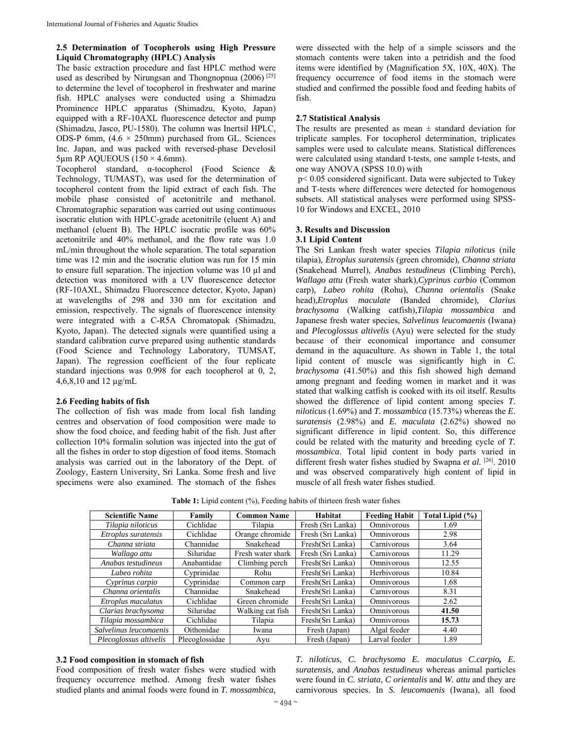## **2.5 Determination of Tocopherols using High Pressure Liquid Chromatography (HPLC) Analysis**

The basic extraction procedure and fast HPLC method were used as described by Nirungsan and Thongnopnua (2006) [25] to determine the level of tocopherol in freshwater and marine fish. HPLC analyses were conducted using a Shimadzu Prominence HPLC apparatus (Shimadzu, Kyoto, Japan) equipped with a RF-10AXL fluorescence detector and pump (Shimadzu, Jasco, PU-1580). The column was Inertsil HPLC, ODS-P 6mm,  $(4.6 \times 250$ mm) purchased from GL. Sciences Inc. Japan, and was packed with reversed-phase Develosil  $5\mu$ m RP AQUEOUS (150 × 4.6mm).

Tocopherol standard, α-tocopherol (Food Science & Technology, TUMAST), was used for the determination of tocopherol content from the lipid extract of each fish. The mobile phase consisted of acetonitrile and methanol. Chromatographic separation was carried out using continuous isocratic elution with HPLC-grade acetonitrile (eluent A) and methanol (eluent B). The HPLC isocratic profile was 60% acetonitrile and 40% methanol, and the flow rate was 1.0 mL/min throughout the whole separation. The total separation time was 12 min and the isocratic elution was run for 15 min to ensure full separation. The injection volume was 10 µl and detection was monitored with a UV fluorescence detector (RF-10AXL, Shimadzu Fluorescence detector, Kyoto, Japan) at wavelengths of 298 and 330 nm for excitation and emission, respectively. The signals of fluorescence intensity were integrated with a C-R5A Chromatopak (Shimadzu, Kyoto, Japan). The detected signals were quantified using a standard calibration curve prepared using authentic standards (Food Science and Technology Laboratory, TUMSAT, Japan). The regression coefficient of the four replicate standard injections was 0.998 for each tocopherol at 0, 2, 4,6,8,10 and 12 µg/mL

## **2.6 Feeding habits of fish**

The collection of fish was made from local fish landing centres and observation of food composition were made to show the food choice, and feeding habit of the fish. Just after collection 10% formalin solution was injected into the gut of all the fishes in order to stop digestion of food items. Stomach analysis was carried out in the laboratory of the Dept. of Zoology, Eastern University, Sri Lanka. Some fresh and live specimens were also examined. The stomach of the fishes

were dissected with the help of a simple scissors and the stomach contents were taken into a petridish and the food items were identified by (Magnification 5X, 10X, 40X). The frequency occurrence of food items in the stomach were studied and confirmed the possible food and feeding habits of fish.

## **2.7 Statistical Analysis**

The results are presented as mean  $\pm$  standard deviation for triplicate samples. For tocopherol determination, triplicates samples were used to calculate means. Statistical differences were calculated using standard t-tests, one sample t-tests, and one way ANOVA (SPSS 10.0) with

 p< 0.05 considered significant. Data were subjected to Tukey and T-tests where differences were detected for homogenous subsets. All statistical analyses were performed using SPSS-10 for Windows and EXCEL, 2010

## **3. Results and Discussion 3.1 Lipid Content**

The Sri Lankan fresh water species *Tilapia niloticus* (nile tilapia)*, Etroplus suratensis* (green chromide)*, Channa striata*  (Snakehead Murrel)*, Anabas testudineus* (Climbing Perch), *Wallago attu* (Fresh water shark)*,Cyprinus carbio* (Common carp)*, Labeo rohita* (Rohu), *Channa orientalis* (Snake head)*,Etroplus maculate* (Banded chromide)*, Clarius brachysoma* (Walking catfish)*,Tilapia mossambica* and Japanese fresh water species, *Salvelinus leucomaenis* (Iwana) and *Plecoglossus altivelis* (Ayu) were selected for the study because of their economical importance and consumer demand in the aquaculture. As shown in Table 1, the total lipid content of muscle was significantly high in *C. brachysoma* (41.50%) and this fish showed high demand among pregnant and feeding women in market and it was stated that walking catfish is cooked with its oil itself. Results showed the difference of lipid content among species *T. niloticus* (1.69%) and *T. mossambica* (15.73%) whereas the *E*. *suratensis* (2.98%) and *E. maculata* (2.62%) showed no significant difference in lipid content. So, this difference could be related with the maturity and breeding cycle of *T. mossambica*. Total lipid content in body parts varied in different fresh water fishes studied by Swapna et al. <sup>[26]</sup>. 2010 and was observed comparatively high content of lipid in muscle of all fresh water fishes studied.

| <b>Scientific Name</b> | Family         | <b>Common Name</b> | Habitat           | <b>Feeding Habit</b> | Total Lipid (%) |
|------------------------|----------------|--------------------|-------------------|----------------------|-----------------|
| Tilapia niloticus      | Cichlidae      | Tilapia            | Fresh (Sri Lanka) | Omnivorous           | 1.69            |
| Etroplus suratensis    | Cichlidae      | Orange chromide    | Fresh (Sri Lanka) | Omnivorous           | 2.98            |
| Channa striata         | Channidae      | Snakehead          | Fresh(Sri Lanka)  | Carnivorous          | 3.64            |
| Wallago attu           | Siluridae      | Fresh water shark  | Fresh (Sri Lanka) | Carnivorous          | 11.29           |
| Anabas testudineus     | Anabantidae    | Climbing perch     | Fresh(Sri Lanka)  | Omnivorous           | 12.55           |
| Labeo rohita           | Cyprinidae     | Rohu               | Fresh(Sri Lanka)  | Herbivorous          | 10.84           |
| Cyprinus carpio        | Cyprinidae     | Common carp        | Fresh(Sri Lanka)  | Omnivorous           | 1.68            |
| Channa orientalis      | Channidae      | Snakehead          | Fresh(Sri Lanka)  | Carnivorous          | 8.31            |
| Etroplus maculatus     | Cichlidae      | Green chromide     | Fresh(Sri Lanka)  | Omnivorous           | 2.62            |
| Clarias brachysoma     | Siluridae      | Walking cat fish   | Fresh(Sri Lanka)  | Omnivorous           | 41.50           |
| Tilapia mossambica     | Cichlidae      | Tilapia            | Fresh(Sri Lanka)  | Omnivorous           | 15.73           |
| Salvelinus leucomaenis | Oithonidae     | Iwana              | Fresh (Japan)     | Algal feeder         | 4.40            |
| Plecoglossus altivelis | Plecoglossidae | Ayu                | Fresh (Japan)     | Larval feeder        | 1.89            |

**Table 1:** Lipid content (%), Feeding habits of thirteen fresh water fishes

# **3.2 Food composition in stomach of fish**

Food composition of fresh water fishes were studied with frequency occurrence method. Among fresh water fishes studied plants and animal foods were found in *T. mossambica,* 

*T. niloticus*, *C. brachysoma E. maculatus C.carpio, E. suratensis,* and *Anabas testudineus* whereas animal particles were found in *C. striata*, *C orientalis* and *W. attu* and they are carnivorous species. In *S. leucomaenis* (Iwana), all food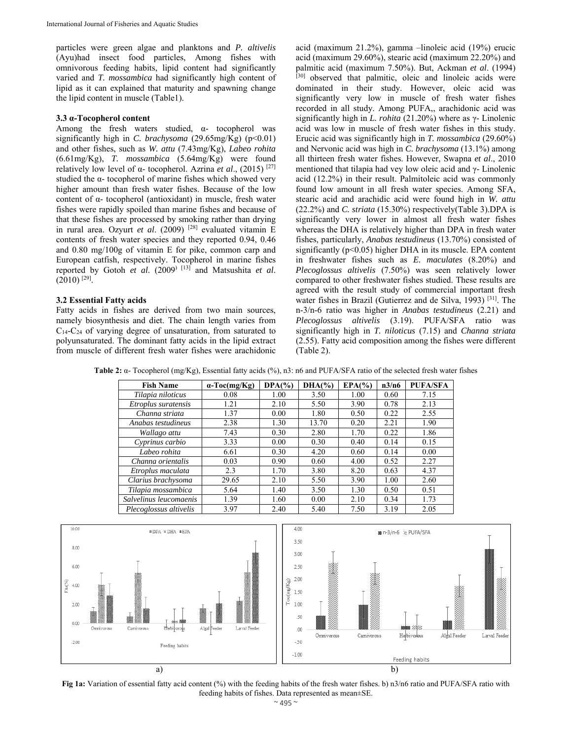particles were green algae and planktons and *P. altivelis*  (Ayu)had insect food particles, Among fishes with omnivorous feeding habits, lipid content had significantly varied and *T. mossambica* had significantly high content of lipid as it can explained that maturity and spawning change the lipid content in muscle (Table1).

## **3.3 α-Tocopherol content**

Among the fresh waters studied,  $\alpha$ - tocopherol was significantly high in *C. brachysoma* (29.65mg/Kg) (p<0.01) and other fishes, such as *W. attu* (7.43mg/Kg), *Labeo rohita* (6.61mg/Kg), *T. mossambica* (5.64mg/Kg) were found relatively low level of α- tocopherol. Azrina *et al*., (2015) [27] studied the α- tocopherol of marine fishes which showed very higher amount than fresh water fishes. Because of the low content of α- tocopherol (antioxidant) in muscle, fresh water fishes were rapidly spoiled than marine fishes and because of that these fishes are processed by smoking rather than drying in rural area. Ozyurt et al. (2009) <sup>[28]</sup> evaluated vitamin E contents of fresh water species and they reported 0.94, 0.46 and 0.80 mg/100g of vitamin E for pike, common carp and European catfish, respectively. Tocopherol in marine fishes reported by Gotoh *et al*. (2009) [13] and Matsushita *et al*.  $(2010)$ <sup>[29]</sup>.

#### **3.2 Essential Fatty acids**

Fatty acids in fishes are derived from two main sources, namely biosynthesis and diet. The chain length varies from  $C_{14}$ - $C_{24}$  of varying degree of unsaturation, from saturated to polyunsaturated. The dominant fatty acids in the lipid extract from muscle of different fresh water fishes were arachidonic acid (maximum 21.2%), gamma –linoleic acid (19%) erucic acid (maximum 29.60%), stearic acid (maximum 22.20%) and palmitic acid (maximum 7.50%). But, Ackman *et al*. (1994) [30] observed that palmitic, oleic and linoleic acids were dominated in their study. However, oleic acid was significantly very low in muscle of fresh water fishes recorded in all study. Among PUFA,, arachidonic acid was significantly high in *L. rohita* (21.20%) where as γ- Linolenic acid was low in muscle of fresh water fishes in this study. Erucic acid was significantly high in *T. mossambica* (29.60%) and Nervonic acid was high in *C. brachysoma* (13.1%) among all thirteen fresh water fishes. However, Swapna *et al*., 2010 mentioned that tilapia had vey low oleic acid and γ- Linolenic acid (12.2%) in their result. Palmitoleic acid was commonly found low amount in all fresh water species. Among SFA, stearic acid and arachidic acid were found high in *W. attu* (22.2%) and *C. striata* (15.30%) respectively(Table 3).DPA is significantly very lower in almost all fresh water fishes whereas the DHA is relatively higher than DPA in fresh water fishes, particularly, *Anabas testudineus* (13.70%) consisted of significantly (p<0.05) higher DHA in its muscle. EPA content in freshwater fishes such as *E. maculates* (8.20%) and *Plecoglossus altivelis* (7.50%) was seen relatively lower compared to other freshwater fishes studied. These results are agreed with the result study of commercial important fresh water fishes in Brazil (Gutierrez and de Silva, 1993) [31]. The n-3/n-6 ratio was higher in *Anabas testudineus* (2.21) and *Plecoglossus altivelis* (3.19). PUFA/SFA ratio was significantly high in *T. niloticus* (7.15) and *Channa striata* (2.55). Fatty acid composition among the fishes were different (Table 2).

**Table 2:** α- Tocopherol (mg/Kg), Essential fatty acids (%), n3: n6 and PUFA/SFA ratio of the selected fresh water fishes

| <b>Fish Name</b>       | $\alpha$ -Toc(mg/Kg) | $DPA(\% )$ | $DHA(\% )$ | $EPA(\% )$ | n3/n6 | <b>PUFA/SFA</b> |
|------------------------|----------------------|------------|------------|------------|-------|-----------------|
| Tilapia niloticus      | 0.08                 | 1.00       | 3.50       | 1.00       | 0.60  | 7.15            |
| Etroplus suratensis    | 1.21                 | 2.10       | 5.50       | 3.90       | 0.78  | 2.13            |
| Channa striata         | 1.37                 | 0.00       | 1.80       | 0.50       | 0.22  | 2.55            |
| Anabas testudineus     | 2.38                 | 1.30       | 13.70      | 0.20       | 2.21  | 1.90            |
| Wallago attu           | 7.43                 | 0.30       | 2.80       | 1.70       | 0.22  | 1.86            |
| Cyprinus carbio        | 3.33                 | 0.00       | 0.30       | 0.40       | 0.14  | 0.15            |
| Labeo rohita           | 6.61                 | 0.30       | 4.20       | 0.60       | 0.14  | 0.00            |
| Channa orientalis      | 0.03                 | 0.90       | 0.60       | 4.00       | 0.52  | 2.27            |
| Etroplus maculata      | 2.3                  | 1.70       | 3.80       | 8.20       | 0.63  | 4.37            |
| Clarius brachysoma     | 29.65                | 2.10       | 5.50       | 3.90       | 1.00  | 2.60            |
| Tilapia mossambica     | 5.64                 | 1.40       | 3.50       | 1.30       | 0.50  | 0.51            |
| Salvelinus leucomaenis | 1.39                 | 1.60       | 0.00       | 2.10       | 0.34  | 1.73            |
| Plecoglossus altivelis | 3.97                 | 2.40       | 5.40       | 7.50       | 3.19  | 2.05            |



**Fig 1a:** Variation of essential fatty acid content (%) with the feeding habits of the fresh water fishes. b) n3/n6 ratio and PUFA/SFA ratio with feeding habits of fishes. Data represented as mean±SE.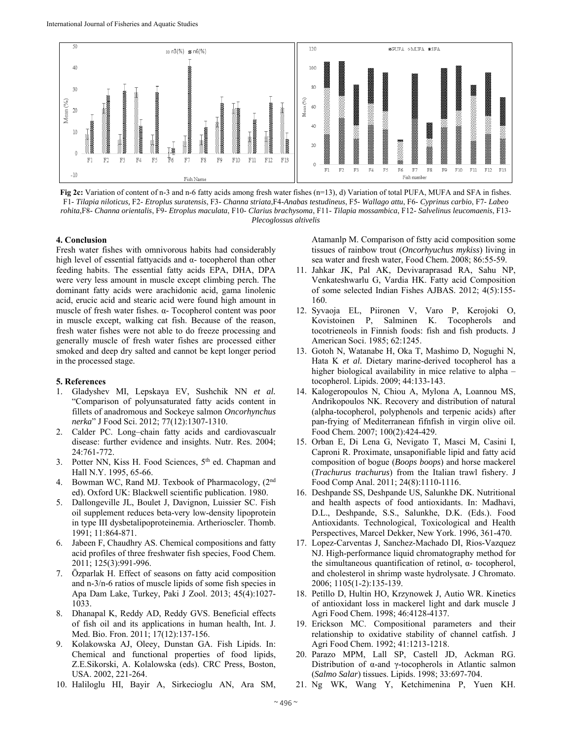

**Fig 2c:** Variation of content of n-3 and n-6 fatty acids among fresh water fishes (n=13), d) Variation of total PUFA, MUFA and SFA in fishes. F1- *Tilapia niloticus,* F2- *Etroplus suratensis*, F3- *Channa striata*,F4-*Anabas testudineus*, F5- *Wallago attu*, F6- *Cyprinus carbio*, F7- *Labeo rohita*,F8- *Channa orientalis*, F9- *Etroplus maculata*, F10- *Clarius brachysoma*, F11- *Tilapia mossambica*, F12- *Salvelinus leucomaenis*, F13- *Plecoglossus altivelis*

#### **4. Conclusion**

Fresh water fishes with omnivorous habits had considerably high level of essential fattyacids and  $α-$  tocopherol than other feeding habits. The essential fatty acids EPA, DHA, DPA were very less amount in muscle except climbing perch. The dominant fatty acids were arachidonic acid, gama linolenic acid, erucic acid and stearic acid were found high amount in muscle of fresh water fishes. α- Tocopherol content was poor in muscle except, walking cat fish. Because of the reason, fresh water fishes were not able to do freeze processing and generally muscle of fresh water fishes are processed either smoked and deep dry salted and cannot be kept longer period in the processed stage.

#### **5. References**

- 1. Gladyshev MI, Lepskaya EV, Sushchik NN *et al.* "Comparison of polyunsaturated fatty acids content in fillets of anadromous and Sockeye salmon *Oncorhynchus nerka*" J Food Sci. 2012; 77(12):1307-1310.
- Calder PC. Long-chain fatty acids and cardiovascualr disease: further evidence and insights. Nutr. Res. 2004; 24:761-772.
- 3. Potter NN, Kiss H. Food Sciences, 5th ed. Chapman and Hall N.Y. 1995, 65-66.
- 4. Bowman WC, Rand MJ. Texbook of Pharmacology, (2nd ed). Oxford UK: Blackwell scientific publication. 1980.
- 5. Dallongeville JL, Boulet J, Davignon, Luissier SC. Fish oil supplement reduces beta-very low-density lipoprotein in type III dysbetalipoproteinemia. Artherioscler. Thomb. 1991; 11:864-871.
- 6. Jabeen F, Chaudhry AS. Chemical compositions and fatty acid profiles of three freshwater fish species, Food Chem. 2011; 125(3):991-996.
- 7. Özparlak H. Effect of seasons on fatty acid composition and n-3/n-6 ratios of muscle lipids of some fish species in Apa Dam Lake, Turkey, Paki J Zool. 2013; 45(4):1027- 1033.
- 8. Dhanapal K, Reddy AD, Reddy GVS. Beneficial effects of fish oil and its applications in human health, Int. J. Med. Bio. Fron. 2011; 17(12):137-156.
- 9. Kolakowska AJ, Oleey, Dunstan GA. Fish Lipids. In: Chemical and functional properties of food lipids, Z.E.Sikorski, A. Kolalowska (eds). CRC Press, Boston, USA. 2002, 221-264.
- 10. Haliloglu HI, Bayir A, Sirkecioglu AN, Ara SM,

Atamanlp M. Comparison of fstty acid composition some tissues of rainbow trout (*Oncorhyuchus mykiss*) living in sea water and fresh water, Food Chem. 2008; 86:55-59.

- 11. Jahkar JK, Pal AK, Devivaraprasad RA, Sahu NP, Venkateshwarlu G, Vardia HK. Fatty acid Composition of some selected Indian Fishes AJBAS. 2012; 4(5):155- 160.
- 12. Syvaoja EL, Piironen V, Varo P, Kerojoki O, Kovistoinen P, Salminen K. Tocopherols and tocotrieneols in Finnish foods: fish and fish products. J American Soci. 1985; 62:1245.
- 13. Gotoh N, Watanabe H, Oka T, Mashimo D, Nogughi N, Hata K *et al.* Dietary marine-derived tocopherol has a higher biological availability in mice relative to alpha – tocopherol. Lipids. 2009; 44:133-143.
- 14. Kalogeropoulos N, Chiou A, Mylona A, Loannou MS, Andrikopoulos NK. Recovery and distribution of natural (alpha-tocopherol, polyphenols and terpenic acids) after pan-frying of Mediterranean fifnfish in virgin olive oil. Food Chem. 2007; 100(2):424-429.
- 15. Orban E, Di Lena G, Nevigato T, Masci M, Casini I, Caproni R. Proximate, unsaponifiable lipid and fatty acid composition of bogue (*Boops boops*) and horse mackerel (*Trachurus trachurus*) from the Italian trawl fishery. J Food Comp Anal. 2011; 24(8):1110-1116.
- 16. Deshpande SS, Deshpande US, Salunkhe DK. Nutritional and health aspects of food antioxidants. In: Madhavi, D.L., Deshpande, S.S., Salunkhe, D.K. (Eds.). Food Antioxidants. Technological, Toxicological and Health Perspectives, Marcel Dekker, New York. 1996, 361-470.
- 17. Lopez-Carventas J, Sanchez-Machado DI, Rios-Vazquez NJ. High-performance liquid chromatography method for the simultaneous quantification of retinol,  $α$ - tocopherol, and cholesterol in shrimp waste hydrolysate. J Chromato. 2006; 1105(1-2):135-139.
- 18. Petillo D, Hultin HO, Krzynowek J, Autio WR. Kinetics of antioxidant loss in mackerel light and dark muscle J Agri Food Chem. 1998; 46:4128-4137.
- 19. Erickson MC. Compositional parameters and their relationship to oxidative stability of channel catfish. J Agri Food Chem. 1992; 41:1213-1218.
- 20. Parazo MPM, Lall SP, Castell JD, Ackman RG. Distribution of α-and γ-tocopherols in Atlantic salmon (*Salmo Salar*) tissues. Lipids. 1998; 33:697-704.
- 21. Ng WK, Wang Y, Ketchimenina P, Yuen KH.